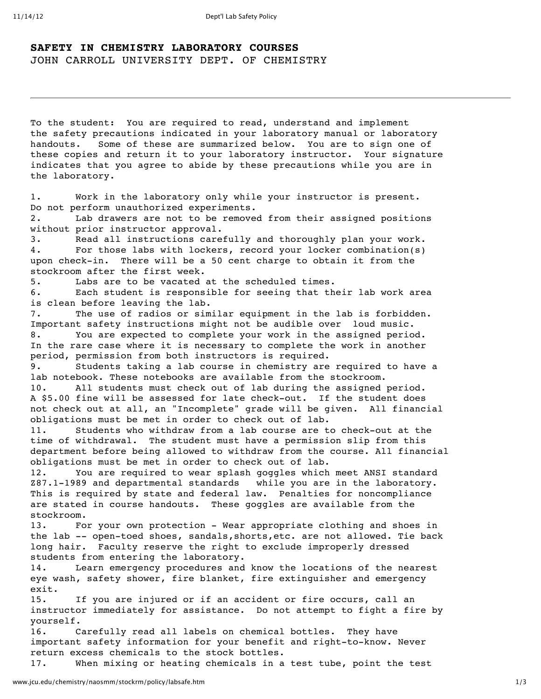## **SAFETY IN CHEMISTRY LABORATORY COURSES** JOHN CARROLL UNIVERSITY DEPT. OF CHEMISTRY

To the student: You are required to read, understand and implement the safety precautions indicated in your laboratory manual or laboratory handouts. Some of these are summarized below. You are to sign one of these copies and return it to your laboratory instructor. Your signature indicates that you agree to abide by these precautions while you are in the laboratory.

1. Work in the laboratory only while your instructor is present. Do not perform unauthorized experiments. 2. Lab drawers are not to be removed from their assigned positions

without prior instructor approval.

3. Read all instructions carefully and thoroughly plan your work. 4. For those labs with lockers, record your locker combination(s) upon check-in. There will be a 50 cent charge to obtain it from the stockroom after the first week.

5. Labs are to be vacated at the scheduled times.

6. Each student is responsible for seeing that their lab work area is clean before leaving the lab.

7. The use of radios or similar equipment in the lab is forbidden. Important safety instructions might not be audible over loud music. 8. You are expected to complete your work in the assigned period. In the rare case where it is necessary to complete the work in another period, permission from both instructors is required.

9. Students taking a lab course in chemistry are required to have a lab notebook. These notebooks are available from the stockroom.

10. All students must check out of lab during the assigned period. A \$5.00 fine will be assessed for late check-out. If the student does not check out at all, an "Incomplete" grade will be given. All financial obligations must be met in order to check out of lab.

11. Students who withdraw from a lab course are to check-out at the time of withdrawal. The student must have a permission slip from this department before being allowed to withdraw from the course. All financial obligations must be met in order to check out of lab.

12. You are required to wear splash goggles which meet ANSI standard Z87.1-1989 and departmental standards while you are in the laboratory. This is required by state and federal law. Penalties for noncompliance are stated in course handouts. These goggles are available from the stockroom.

13. For your own protection - Wear appropriate clothing and shoes in the lab -- open-toed shoes, sandals,shorts,etc. are not allowed. Tie back long hair. Faculty reserve the right to exclude improperly dressed students from entering the laboratory.

14. Learn emergency procedures and know the locations of the nearest eye wash, safety shower, fire blanket, fire extinguisher and emergency exit.

15. If you are injured or if an accident or fire occurs, call an instructor immediately for assistance. Do not attempt to fight a fire by yourself.

16. Carefully read all labels on chemical bottles. They have important safety information for your benefit and right-to-know. Never return excess chemicals to the stock bottles.

17. When mixing or heating chemicals in a test tube, point the test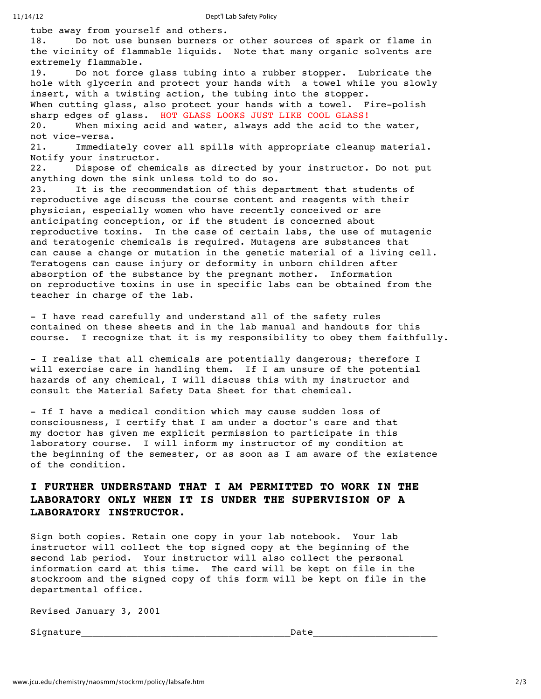tube away from yourself and others. 18. Do not use bunsen burners or other sources of spark or flame in the vicinity of flammable liquids. Note that many organic solvents are extremely flammable. 19. Do not force glass tubing into a rubber stopper. Lubricate the hole with glycerin and protect your hands with a towel while you slowly insert, with a twisting action, the tubing into the stopper. When cutting glass, also protect your hands with a towel. Fire-polish sharp edges of glass. HOT GLASS LOOKS JUST LIKE COOL GLASS! 20. When mixing acid and water, always add the acid to the water, not vice-versa. 21. Immediately cover all spills with appropriate cleanup material. Notify your instructor. 22. Dispose of chemicals as directed by your instructor. Do not put anything down the sink unless told to do so. 23. It is the recommendation of this department that students of reproductive age discuss the course content and reagents with their physician, especially women who have recently conceived or are anticipating conception, or if the student is concerned about reproductive toxins. In the case of certain labs, the use of mutagenic and teratogenic chemicals is required. Mutagens are substances that can cause a change or mutation in the genetic material of a living cell. Teratogens can cause injury or deformity in unborn children after absorption of the substance by the pregnant mother. Information on reproductive toxins in use in specific labs can be obtained from the teacher in charge of the lab.

- I have read carefully and understand all of the safety rules contained on these sheets and in the lab manual and handouts for this course. I recognize that it is my responsibility to obey them faithfully.

- I realize that all chemicals are potentially dangerous; therefore I will exercise care in handling them. If I am unsure of the potential hazards of any chemical, I will discuss this with my instructor and consult the Material Safety Data Sheet for that chemical.

- If I have a medical condition which may cause sudden loss of consciousness, I certify that I am under a doctor's care and that my doctor has given me explicit permission to participate in this laboratory course. I will inform my instructor of my condition at the beginning of the semester, or as soon as I am aware of the existence of the condition.

## **I FURTHER UNDERSTAND THAT I AM PERMITTED TO WORK IN THE LABORATORY ONLY WHEN IT IS UNDER THE SUPERVISION OF A LABORATORY INSTRUCTOR.**

Sign both copies. Retain one copy in your lab notebook. Your lab instructor will collect the top signed copy at the beginning of the second lab period. Your instructor will also collect the personal information card at this time. The card will be kept on file in the stockroom and the signed copy of this form will be kept on file in the departmental office.

Revised January 3, 2001

Signature\_\_\_\_\_\_\_\_\_\_\_\_\_\_\_\_\_\_\_\_\_\_\_\_\_\_\_\_\_\_\_\_\_\_\_\_\_Date\_\_\_\_\_\_\_\_\_\_\_\_\_\_\_\_\_\_\_\_\_\_